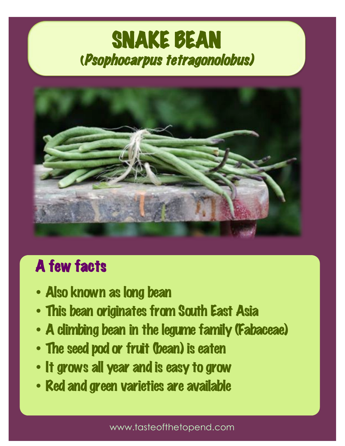# SNAKE BEAN<br>(Psophocarpus tetragonolobus)



### A few facts

- Also known as long bean
- This bean originates from South East Asia
- A climbing bean in the legume family (Fabaceae)
- The seed pod or fruit (bean) is eaten
- It grows all year and is easy to grow
- Red and green varieties are available